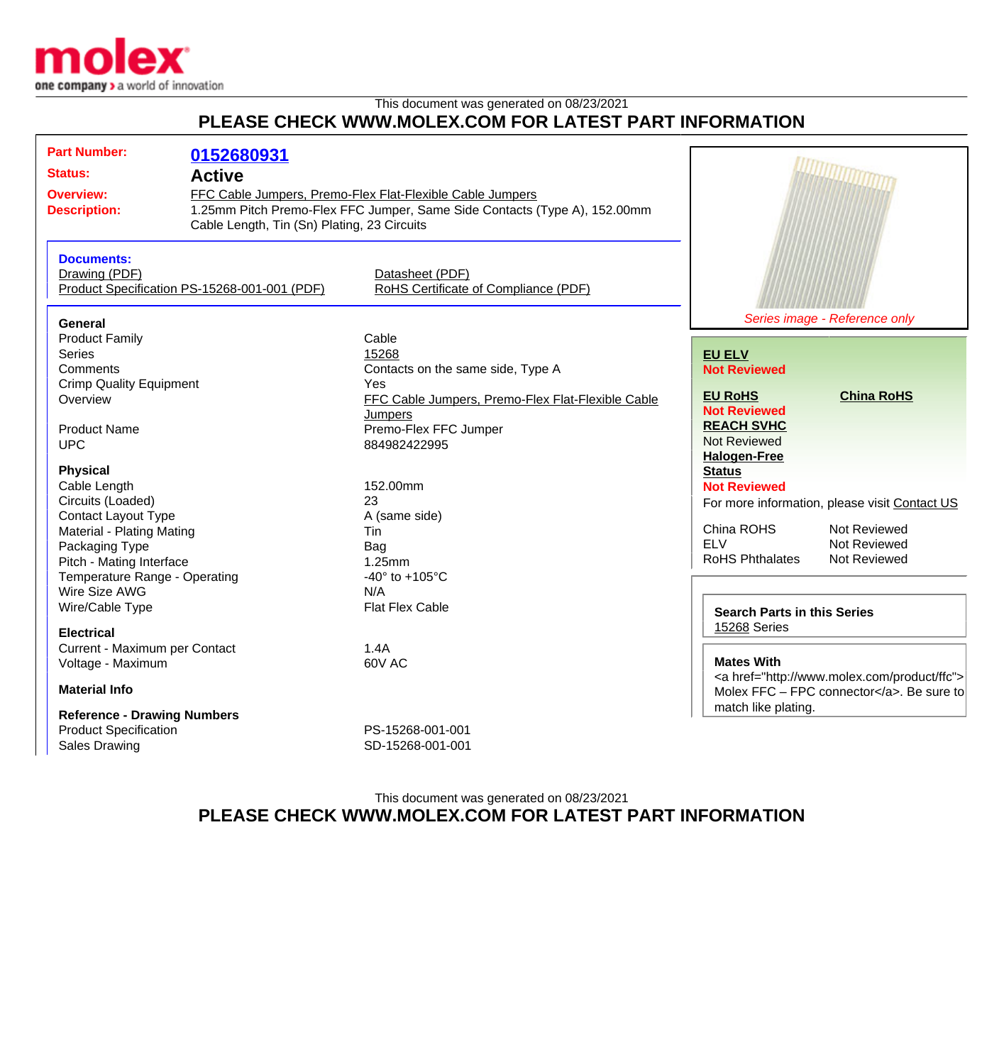

## This document was generated on 08/23/2021 **PLEASE CHECK WWW.MOLEX.COM FOR LATEST PART INFORMATION**

| Cable Length, Tin (Sn) Plating, 23 Circuits                                                                                                                                     |  |
|---------------------------------------------------------------------------------------------------------------------------------------------------------------------------------|--|
| <b>Documents:</b><br>Drawing (PDF)<br>Datasheet (PDF)<br>RoHS Certificate of Compliance (PDF)<br>Product Specification PS-15268-001-001 (PDF)                                   |  |
| Series image - Reference only<br>General                                                                                                                                        |  |
| <b>Product Family</b><br>Cable<br><b>Series</b><br>15268<br><b>EU ELV</b><br>Comments<br>Contacts on the same side, Type A<br><b>Not Reviewed</b>                               |  |
| <b>Crimp Quality Equipment</b><br>Yes<br><b>EU RoHS</b><br><b>China RoHS</b><br>FFC Cable Jumpers, Premo-Flex Flat-Flexible Cable<br>Overview                                   |  |
| <b>Not Reviewed</b><br>Jumpers<br><b>REACH SVHC</b><br>Premo-Flex FFC Jumper<br><b>Product Name</b><br><b>Not Reviewed</b><br><b>UPC</b><br>884982422995<br><b>Halogen-Free</b> |  |
| <b>Physical</b><br><b>Status</b>                                                                                                                                                |  |
| 152.00mm<br>Cable Length<br><b>Not Reviewed</b>                                                                                                                                 |  |
| Circuits (Loaded)<br>23<br>For more information, please visit Contact US<br><b>Contact Layout Type</b><br>A (same side)                                                         |  |
| China ROHS<br>Not Reviewed<br>Material - Plating Mating<br>Tin<br><b>ELV</b><br>Not Reviewed<br>Packaging Type<br>Bag                                                           |  |
| <b>RoHS Phthalates</b><br>Not Reviewed<br>Pitch - Mating Interface<br>1.25mm                                                                                                    |  |
| Temperature Range - Operating<br>-40 $\degree$ to +105 $\degree$ C<br>N/A                                                                                                       |  |
| Wire Size AWG<br>Wire/Cable Type<br><b>Flat Flex Cable</b><br><b>Search Parts in this Series</b>                                                                                |  |
| 15268 Series<br><b>Electrical</b>                                                                                                                                               |  |
| Current - Maximum per Contact<br>1.4A                                                                                                                                           |  |
| <b>Mates With</b><br>Voltage - Maximum<br>60V AC<br><a href="http://www.molex.com/product/ffc"><br/><b>Material Info</b><br/>Molex FFC - FPC connector</a> . Be sure to         |  |
| match like plating.<br><b>Reference - Drawing Numbers</b>                                                                                                                       |  |
| <b>Product Specification</b><br>PS-15268-001-001                                                                                                                                |  |
| <b>Sales Drawing</b><br>SD-15268-001-001                                                                                                                                        |  |

This document was generated on 08/23/2021 **PLEASE CHECK WWW.MOLEX.COM FOR LATEST PART INFORMATION**